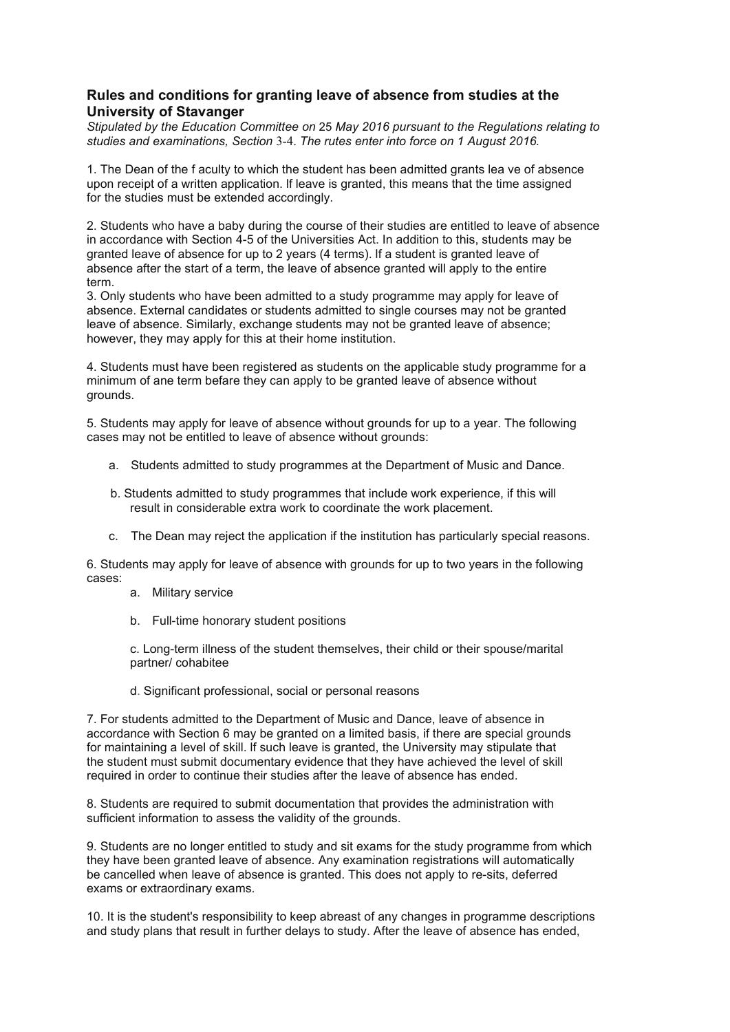## **Rules and conditions for granting leave of absence from studies at the University of Stavanger**

*Stipulated by the Education Committee on* 25 *May 2016 pursuant to the Regulations relating to studies and examinations, Section* 3-4. *The rutes enter into force on 1 August 2016.*

1. The Dean of the f aculty to which the student has been admitted grants lea ve of absence upon receipt of a written application. lf leave is granted, this means that the time assigned for the studies must be extended accordingly.

2. Students who have a baby during the course of their studies are entitled to leave of absence in accordance with Section 4-5 of the Universities Act. In addition to this, students may be granted leave of absence for up to 2 years (4 terms). lf a student is granted leave of absence after the start of a term, the leave of absence granted will apply to the entire term.

3. Only students who have been admitted to a study programme may apply for leave of absence. External candidates or students admitted to single courses may not be granted leave of absence. Similarly, exchange students may not be granted leave of absence; however, they may apply for this at their home institution.

4. Students must have been registered as students on the applicable study programme for a minimum of ane term befare they can apply to be granted leave of absence without grounds.

5. Students may apply for leave of absence without grounds for up to a year. The following cases may not be entitled to leave of absence without grounds:

- a. Students admitted to study programmes at the Department of Music and Dance.
- b. Students admitted to study programmes that include work experience, if this will result in considerable extra work to coordinate the work placement.
- c. The Dean may reject the application if the institution has particularly special reasons.

6. Students may apply for leave of absence with grounds for up to two years in the following cases:

- a. Military service
- b. Full-time honorary student positions

c. Long-term illness of the student themselves, their child or their spouse/marital partner/ cohabitee

d. Significant professional, social or personal reasons

7. For students admitted to the Department of Music and Dance, leave of absence in accordance with Section 6 may be granted on a limited basis, if there are special grounds for maintaining a level of skill. lf such leave is granted, the University may stipulate that the student must submit documentary evidence that they have achieved the level of skill required in order to continue their studies after the leave of absence has ended.

8. Students are required to submit documentation that provides the administration with sufficient information to assess the validity of the grounds.

9. Students are no longer entitled to study and sit exams for the study programme from which they have been granted leave of absence. Any examination registrations will automatically be cancelled when leave of absence is granted. This does not apply to re-sits, deferred exams or extraordinary exams.

10. It is the student's responsibility to keep abreast of any changes in programme descriptions and study plans that result in further delays to study. After the leave of absence has ended,